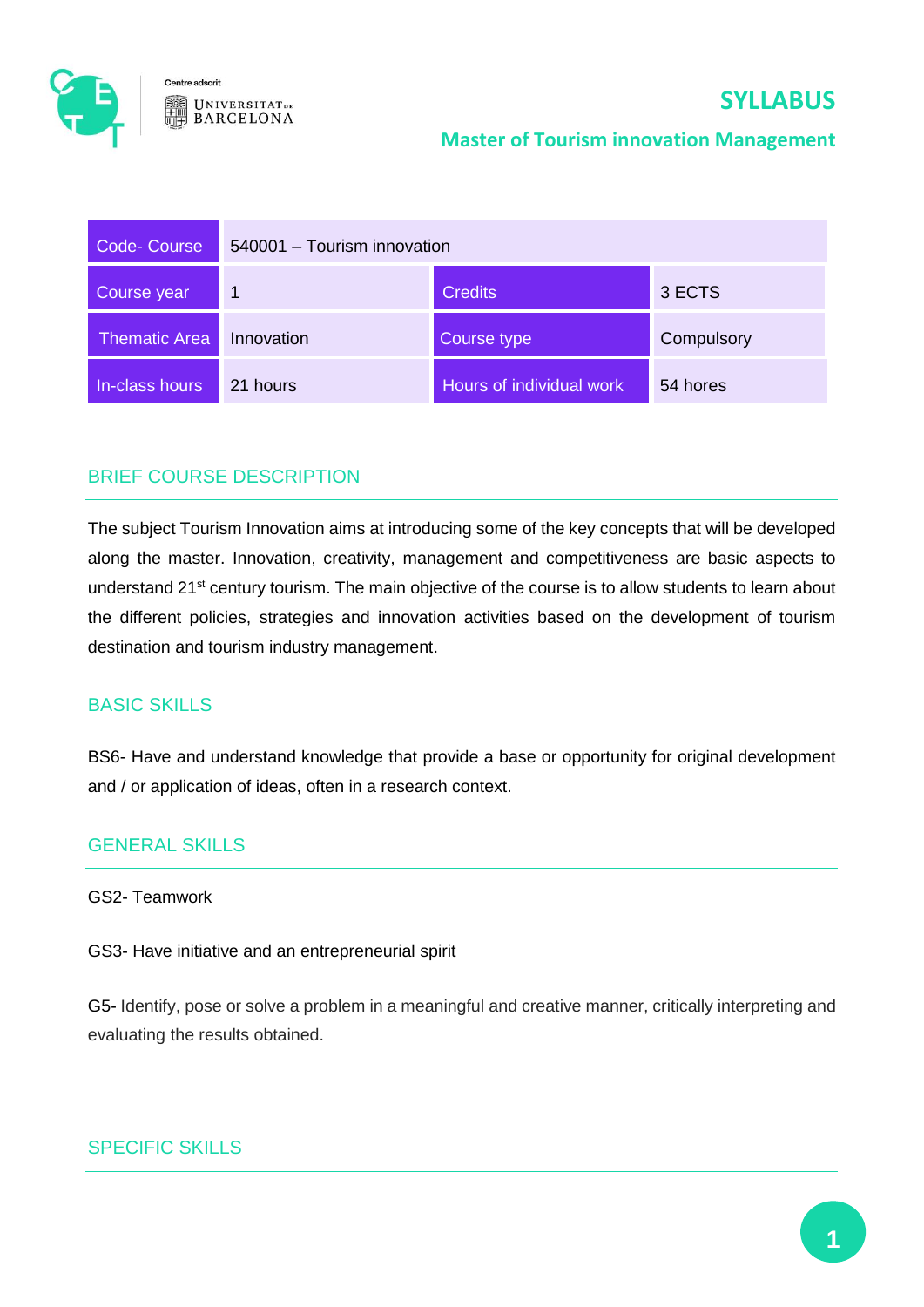

# **SYLLABUS**

#### **Master of Tourism innovation Management**

| Code-Course          | 540001 - Tourism innovation |                          |            |
|----------------------|-----------------------------|--------------------------|------------|
| Course year          | $\overline{\mathbf{1}}$     | <b>Credits</b>           | 3 ECTS     |
| <b>Thematic Area</b> | Innovation                  | Course type              | Compulsory |
| In-class hours       | 21 hours                    | Hours of individual work | 54 hores   |

## BRIEF COURSE DESCRIPTION

The subject Tourism Innovation aims at introducing some of the key concepts that will be developed along the master. Innovation, creativity, management and competitiveness are basic aspects to understand 21<sup>st</sup> century tourism. The main objective of the course is to allow students to learn about the different policies, strategies and innovation activities based on the development of tourism destination and tourism industry management.

## BASIC SKILLS

BS6- Have and understand knowledge that provide a base or opportunity for original development and / or application of ideas, often in a research context.

## GENERAL SKILLS

#### GS2- Teamwork

GS3- Have initiative and an entrepreneurial spirit

G5- Identify, pose or solve a problem in a meaningful and creative manner, critically interpreting and evaluating the results obtained.

#### SPECIFIC SKILLS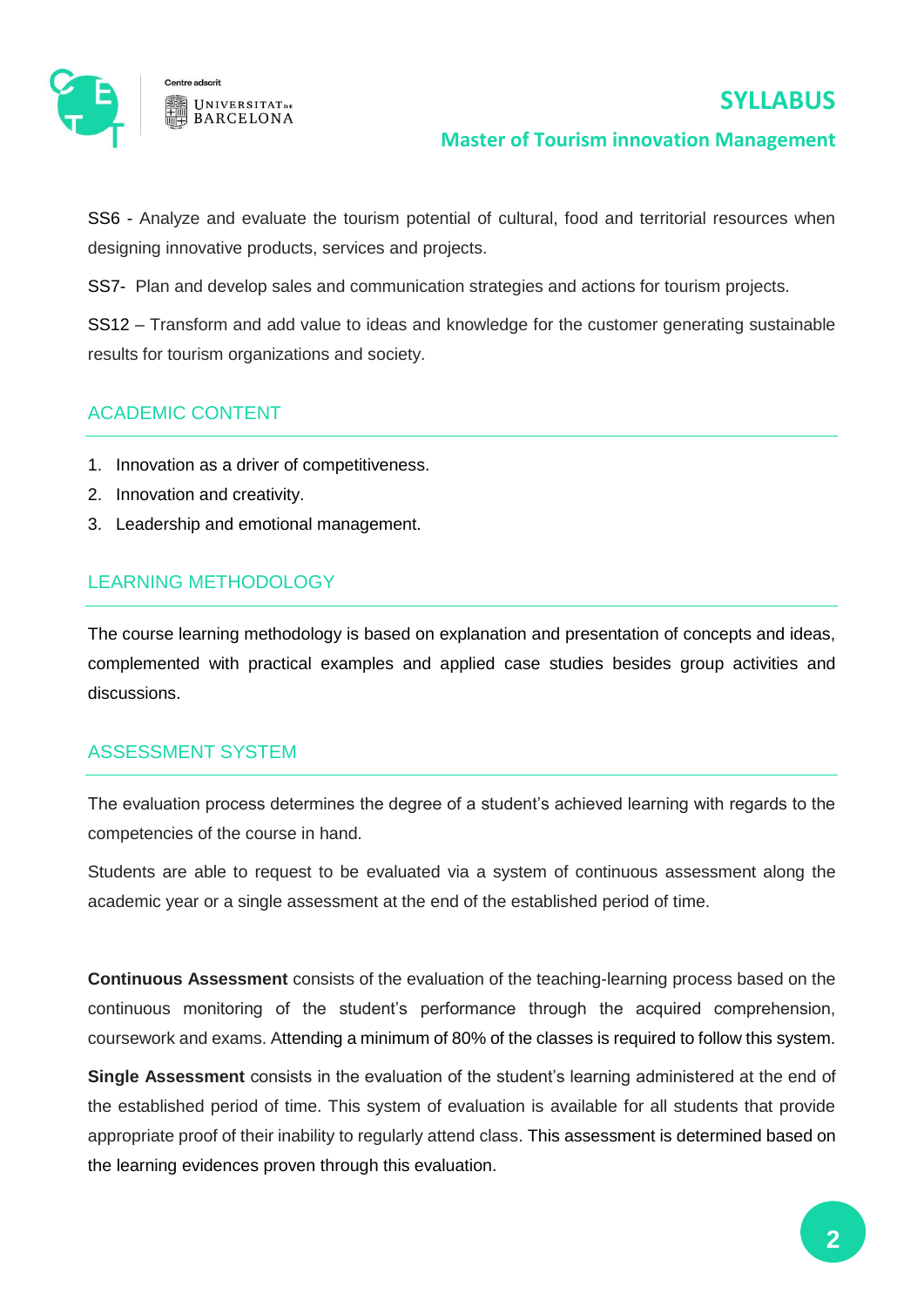



#### **Master of Tourism innovation Management**

SS6 - Analyze and evaluate the tourism potential of cultural, food and territorial resources when designing innovative products, services and projects.

SS7- Plan and develop sales and communication strategies and actions for tourism projects.

SS12 – Transform and add value to ideas and knowledge for the customer generating sustainable results for tourism organizations and society.

## ACADEMIC CONTENT

- 1. Innovation as a driver of competitiveness.
- 2. Innovation and creativity.
- 3. Leadership and emotional management.

## LEARNING METHODOLOGY

The course learning methodology is based on explanation and presentation of concepts and ideas, complemented with practical examples and applied case studies besides group activities and discussions.

## ASSESSMENT SYSTEM

The evaluation process determines the degree of a student's achieved learning with regards to the competencies of the course in hand.

Students are able to request to be evaluated via a system of continuous assessment along the academic year or a single assessment at the end of the established period of time.

**Continuous Assessment** consists of the evaluation of the teaching-learning process based on the continuous monitoring of the student's performance through the acquired comprehension, coursework and exams. Attending a minimum of 80% of the classes is required to follow this system.

**Single Assessment** consists in the evaluation of the student's learning administered at the end of the established period of time. This system of evaluation is available for all students that provide appropriate proof of their inability to regularly attend class. This assessment is determined based on the learning evidences proven through this evaluation.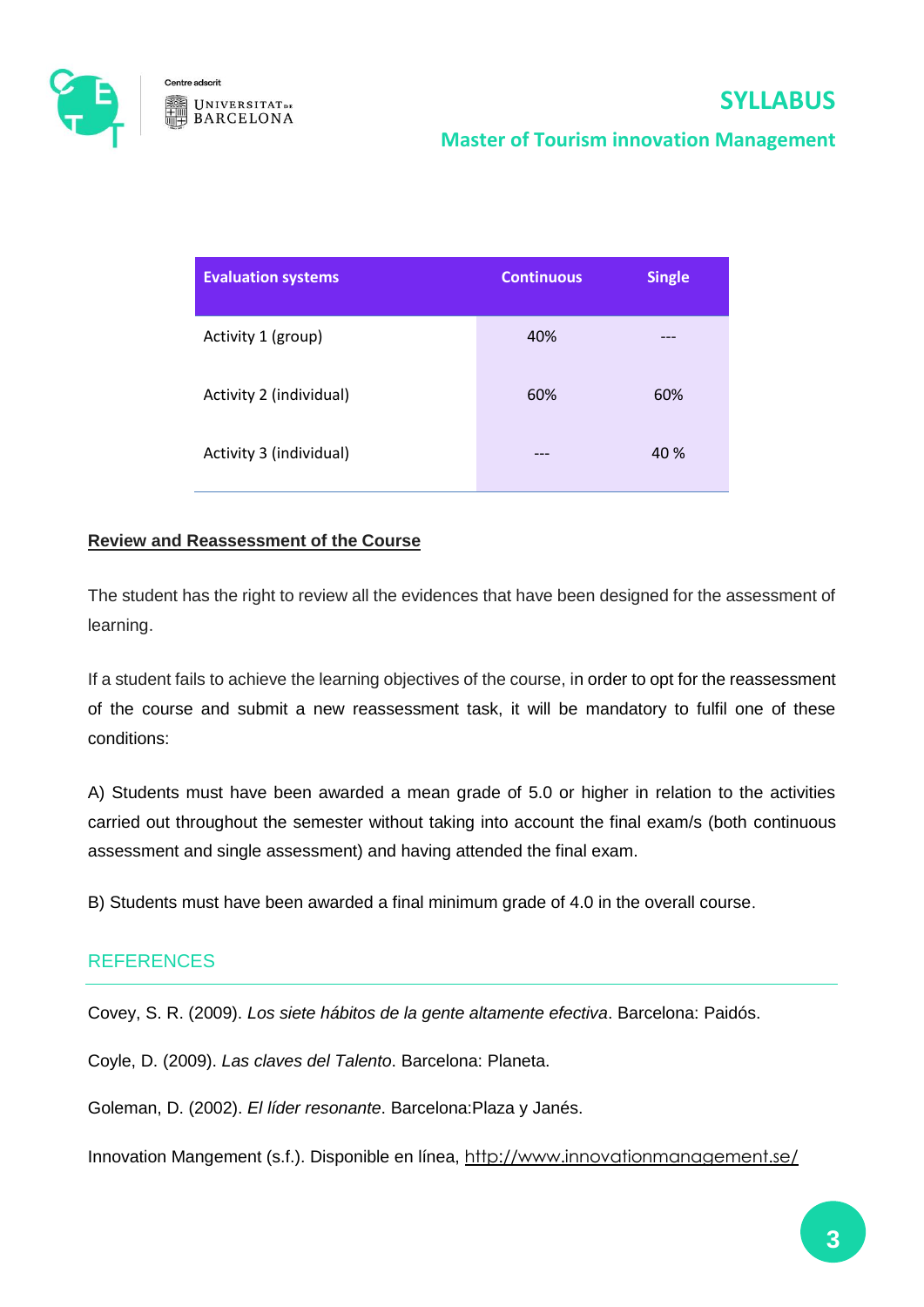

## **Master of Tourism innovation Management**

| <b>Evaluation systems</b> | <b>Continuous</b> | <b>Single</b> |
|---------------------------|-------------------|---------------|
| Activity 1 (group)        | 40%               |               |
| Activity 2 (individual)   | 60%               | 60%           |
| Activity 3 (individual)   | ---               | 40 %          |

#### **Review and Reassessment of the Course**

The student has the right to review all the evidences that have been designed for the assessment of learning.

If a student fails to achieve the learning objectives of the course, in order to opt for the reassessment of the course and submit a new reassessment task, it will be mandatory to fulfil one of these conditions:

A) Students must have been awarded a mean grade of 5.0 or higher in relation to the activities carried out throughout the semester without taking into account the final exam/s (both continuous assessment and single assessment) and having attended the final exam.

B) Students must have been awarded a final minimum grade of 4.0 in the overall course.

#### **REFERENCES**

Covey, S. R. (2009). *Los siete hábitos de la gente altamente efectiva*. Barcelona: Paidós.

Coyle, D. (2009). *Las claves del Talento*. Barcelona: Planeta.

Goleman, D. (2002). *El líder resonante*. Barcelona:Plaza y Janés.

Innovation Mangement (s.f.). Disponible en línea, <http://www.innovationmanagement.se/>